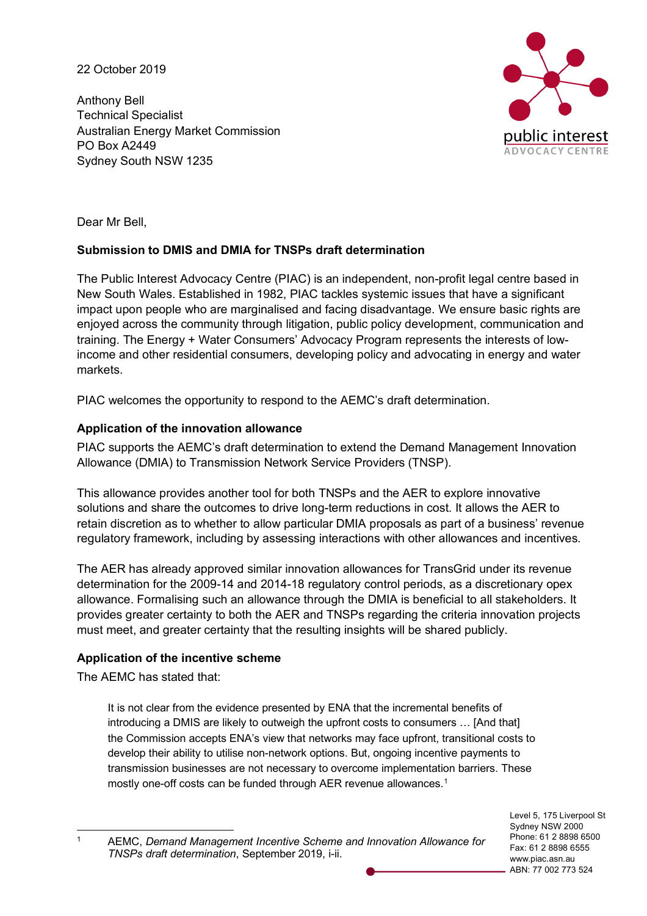22 October 2019

Anthony Bell Technical Specialist Australian Energy Market Commission PO Box A2449 Sydney South NSW 1235



Dear Mr Bell,

# **Submission to DMIS and DMIA for TNSPs draft determination**

The Public Interest Advocacy Centre (PIAC) is an independent, non-profit legal centre based in New South Wales. Established in 1982, PIAC tackles systemic issues that have a significant impact upon people who are marginalised and facing disadvantage. We ensure basic rights are enjoyed across the community through litigation, public policy development, communication and training. The Energy + Water Consumers' Advocacy Program represents the interests of lowincome and other residential consumers, developing policy and advocating in energy and water markets.

PIAC welcomes the opportunity to respond to the AEMC's draft determination.

# **Application of the innovation allowance**

PIAC supports the AEMC's draft determination to extend the Demand Management Innovation Allowance (DMIA) to Transmission Network Service Providers (TNSP).

This allowance provides another tool for both TNSPs and the AER to explore innovative solutions and share the outcomes to drive long-term reductions in cost. It allows the AER to retain discretion as to whether to allow particular DMIA proposals as part of a business' revenue regulatory framework, including by assessing interactions with other allowances and incentives.

The AER has already approved similar innovation allowances for TransGrid under its revenue determination for the 2009-14 and 2014-18 regulatory control periods, as a discretionary opex allowance. Formalising such an allowance through the DMIA is beneficial to all stakeholders. It provides greater certainty to both the AER and TNSPs regarding the criteria innovation projects must meet, and greater certainty that the resulting insights will be shared publicly.

# **Application of the incentive scheme**

The AEMC has stated that:

It is not clear from the evidence presented by ENA that the incremental benefits of introducing a DMIS are likely to outweigh the upfront costs to consumers … [And that] the Commission accepts ENA's view that networks may face upfront, transitional costs to develop their ability to utilise non-network options. But, ongoing incentive payments to transmission businesses are not necessary to overcome implementation barriers. These mostly one-off costs can be funded through AER revenue allowances.<sup>1</sup>

Level 5, 175 Liverpool St Sydney NSW 2000 Phone: 61 2 8898 6500 Fax: 61 2 8898 6555 www.piac.asn.au ABN: 77 002 773 524

 <sup>1</sup> AEMC, *Demand Management Incentive Scheme and Innovation Allowance for TNSPs draft determination*, September 2019, i-ii.